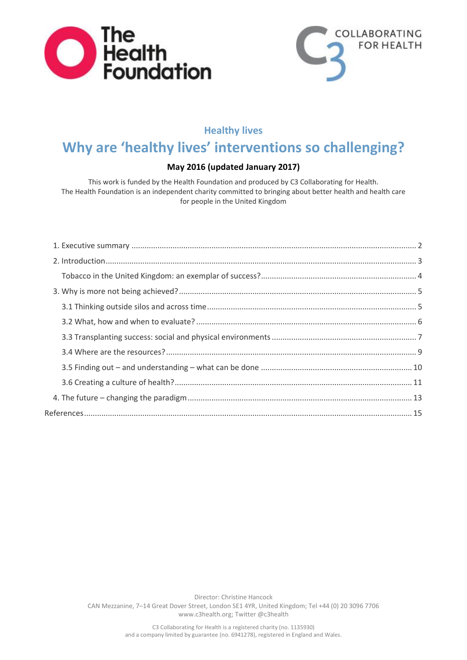



# **Healthy lives**

# **Why are 'healthy lives' interventions so challenging?**

## **May 2016 (updated January 2017)**

This work is funded by the Health Foundation and produced by C3 Collaborating for Health. The Health Foundation is an independent charity committed to bringing about better health and health care for people in the United Kingdom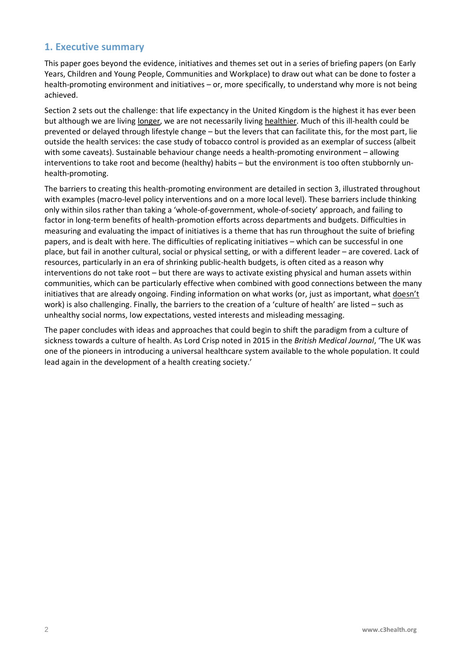## <span id="page-1-0"></span>**1. Executive summary**

This paper goes beyond the evidence, initiatives and themes set out in a series of briefing papers (on Early Years, Children and Young People, Communities and Workplace) to draw out what can be done to foster a health-promoting environment and initiatives – or, more specifically, to understand why more is not being achieved.

Section 2 sets out the challenge: that life expectancy in the United Kingdom is the highest it has ever been but although we are living longer, we are not necessarily living healthier. Much of this ill-health could be prevented or delayed through lifestyle change – but the levers that can facilitate this, for the most part, lie outside the health services: the case study of tobacco control is provided as an exemplar of success (albeit with some caveats). Sustainable behaviour change needs a health-promoting environment – allowing interventions to take root and become (healthy) habits – but the environment is too often stubbornly unhealth-promoting.

The barriers to creating this health-promoting environment are detailed in section 3, illustrated throughout with examples (macro-level policy interventions and on a more local level). These barriers include thinking only within silos rather than taking a 'whole-of-government, whole-of-society' approach, and failing to factor in long-term benefits of health-promotion efforts across departments and budgets. Difficulties in measuring and evaluating the impact of initiatives is a theme that has run throughout the suite of briefing papers, and is dealt with here. The difficulties of replicating initiatives – which can be successful in one place, but fail in another cultural, social or physical setting, or with a different leader – are covered. Lack of resources, particularly in an era of shrinking public-health budgets, is often cited as a reason why interventions do not take root – but there are ways to activate existing physical and human assets within communities, which can be particularly effective when combined with good connections between the many initiatives that are already ongoing. Finding information on what works (or, just as important, what doesn't work) is also challenging. Finally, the barriers to the creation of a 'culture of health' are listed – such as unhealthy social norms, low expectations, vested interests and misleading messaging.

The paper concludes with ideas and approaches that could begin to shift the paradigm from a culture of sickness towards a culture of health. As Lord Crisp noted in 2015 in the *British Medical Journal*, 'The UK was one of the pioneers in introducing a universal healthcare system available to the whole population. It could lead again in the development of a health creating society.'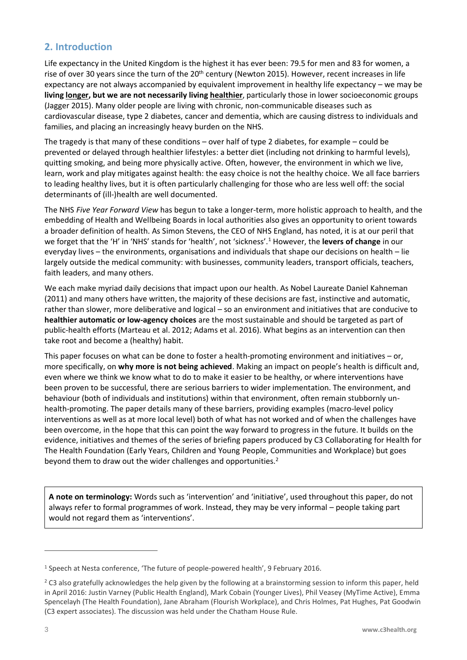# <span id="page-2-0"></span>**2. Introduction**

Life expectancy in the United Kingdom is the highest it has ever been: 79.5 for men and 83 for women, a rise of over 30 years since the turn of the 20<sup>th</sup> century (Newton 2015). However, recent increases in life expectancy are not always accompanied by equivalent improvement in healthy life expectancy – we may be **living longer, but we are not necessarily living healthier**, particularly those in lower socioeconomic groups (Jagger 2015). Many older people are living with chronic, non-communicable diseases such as cardiovascular disease, type 2 diabetes, cancer and dementia, which are causing distress to individuals and families, and placing an increasingly heavy burden on the NHS.

The tragedy is that many of these conditions – over half of type 2 diabetes, for example – could be prevented or delayed through healthier lifestyles: a better diet (including not drinking to harmful levels), quitting smoking, and being more physically active. Often, however, the environment in which we live, learn, work and play mitigates against health: the easy choice is not the healthy choice. We all face barriers to leading healthy lives, but it is often particularly challenging for those who are less well off: the social determinants of (ill-)health are well documented.

The NHS *Five Year Forward View* has begun to take a longer-term, more holistic approach to health, and the embedding of Health and Wellbeing Boards in local authorities also gives an opportunity to orient towards a broader definition of health. As Simon Stevens, the CEO of NHS England, has noted, it is at our peril that we forget that the 'H' in 'NHS' stands for 'health', not 'sickness'.<sup>1</sup> However, the **levers of change** in our everyday lives – the environments, organisations and individuals that shape our decisions on health – lie largely outside the medical community: with businesses, community leaders, transport officials, teachers, faith leaders, and many others.

We each make myriad daily decisions that impact upon our health. As Nobel Laureate Daniel Kahneman (2011) and many others have written, the majority of these decisions are fast, instinctive and automatic, rather than slower, more deliberative and logical – so an environment and initiatives that are conducive to **healthier automatic or low-agency choices** are the most sustainable and should be targeted as part of public-health efforts (Marteau et al. 2012; Adams et al. 2016). What begins as an intervention can then take root and become a (healthy) habit.

This paper focuses on what can be done to foster a health-promoting environment and initiatives – or, more specifically, on **why more is not being achieved**. Making an impact on people's health is difficult and, even where we think we know what to do to make it easier to be healthy, or where interventions have been proven to be successful, there are serious barriers to wider implementation. The environment, and behaviour (both of individuals and institutions) within that environment, often remain stubbornly unhealth-promoting. The paper details many of these barriers, providing examples (macro-level policy interventions as well as at more local level) both of what has not worked and of when the challenges have been overcome, in the hope that this can point the way forward to progress in the future. It builds on the evidence, initiatives and themes of the series of briefing papers produced by C3 Collaborating for Health for The Health Foundation (Early Years, Children and Young People, Communities and Workplace) but goes beyond them to draw out the wider challenges and opportunities.<sup>2</sup>

**A note on terminology:** Words such as 'intervention' and 'initiative', used throughout this paper, do not always refer to formal programmes of work. Instead, they may be very informal – people taking part would not regard them as 'interventions'.

<sup>1</sup> Speech at Nesta conference, 'The future of people-powered health', 9 February 2016.

 $2$  C3 also gratefully acknowledges the help given by the following at a brainstorming session to inform this paper, held in April 2016: Justin Varney (Public Health England), Mark Cobain (Younger Lives), Phil Veasey (MyTime Active), Emma Spencelayh (The Health Foundation), Jane Abraham (Flourish Workplace), and Chris Holmes, Pat Hughes, Pat Goodwin (C3 expert associates). The discussion was held under the Chatham House Rule.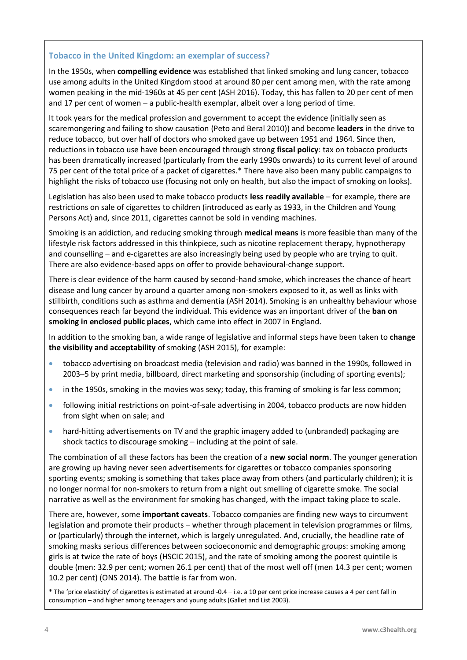## <span id="page-3-0"></span>**Tobacco in the United Kingdom: an exemplar of success?**

In the 1950s, when **compelling evidence** was established that linked smoking and lung cancer, tobacco use among adults in the United Kingdom stood at around 80 per cent among men, with the rate among women peaking in the mid-1960s at 45 per cent (ASH 2016). Today, this has fallen to 20 per cent of men and 17 per cent of women – a public-health exemplar, albeit over a long period of time.

It took years for the medical profession and government to accept the evidence (initially seen as scaremongering and failing to show causation (Peto and Beral 2010)) and become **leaders** in the drive to reduce tobacco, but over half of doctors who smoked gave up between 1951 and 1964. Since then, reductions in tobacco use have been encouraged through strong **fiscal policy**: tax on tobacco products has been dramatically increased (particularly from the early 1990s onwards) to its current level of around 75 per cent of the total price of a packet of cigarettes.\* There have also been many public campaigns to highlight the risks of tobacco use (focusing not only on health, but also the impact of smoking on looks).

Legislation has also been used to make tobacco products **less readily available** – for example, there are restrictions on sale of cigarettes to children (introduced as early as 1933, in the Children and Young Persons Act) and, since 2011, cigarettes cannot be sold in vending machines.

Smoking is an addiction, and reducing smoking through **medical means** is more feasible than many of the lifestyle risk factors addressed in this thinkpiece, such as nicotine replacement therapy, hypnotherapy and counselling – and e-cigarettes are also increasingly being used by people who are trying to quit. There are also evidence-based apps on offer to provide behavioural-change support.

There is clear evidence of the harm caused by second-hand smoke, which increases the chance of heart disease and lung cancer by around a quarter among non-smokers exposed to it, as well as links with stillbirth, conditions such as asthma and dementia (ASH 2014). Smoking is an unhealthy behaviour whose consequences reach far beyond the individual. This evidence was an important driver of the **ban on smoking in enclosed public places**, which came into effect in 2007 in England.

In addition to the smoking ban, a wide range of legislative and informal steps have been taken to **change the visibility and acceptability** of smoking (ASH 2015), for example:

- tobacco advertising on broadcast media (television and radio) was banned in the 1990s, followed in 2003–5 by print media, billboard, direct marketing and sponsorship (including of sporting events);
- in the 1950s, smoking in the movies was sexy; today, this framing of smoking is far less common;
- following initial restrictions on point-of-sale advertising in 2004, tobacco products are now hidden from sight when on sale; and
- hard-hitting advertisements on TV and the graphic imagery added to (unbranded) packaging are shock tactics to discourage smoking – including at the point of sale.

The combination of all these factors has been the creation of a **new social norm**. The younger generation are growing up having never seen advertisements for cigarettes or tobacco companies sponsoring sporting events; smoking is something that takes place away from others (and particularly children); it is no longer normal for non-smokers to return from a night out smelling of cigarette smoke. The social narrative as well as the environment for smoking has changed, with the impact taking place to scale.

There are, however, some **important caveats**. Tobacco companies are finding new ways to circumvent legislation and promote their products – whether through placement in television programmes or films, or (particularly) through the internet, which is largely unregulated. And, crucially, the headline rate of smoking masks serious differences between socioeconomic and demographic groups: smoking among girls is at twice the rate of boys (HSCIC 2015), and the rate of smoking among the poorest quintile is double (men: 32.9 per cent; women 26.1 per cent) that of the most well off (men 14.3 per cent; women 10.2 per cent) (ONS 2014). The battle is far from won.

\* The 'price elasticity' of cigarettes is estimated at around -0.4 – i.e. a 10 per cent price increase causes a 4 per cent fall in consumption – and higher among teenagers and young adults (Gallet and List 2003).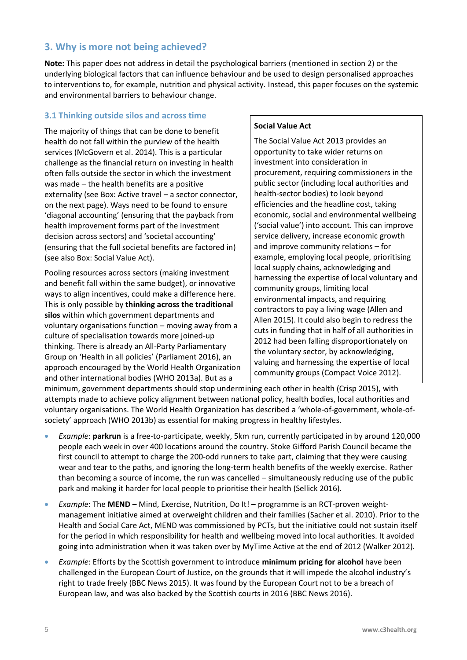## <span id="page-4-0"></span>**3. Why is more not being achieved?**

**Note:** This paper does not address in detail the psychological barriers (mentioned in section 2) or the underlying biological factors that can influence behaviour and be used to design personalised approaches to interventions to, for example, nutrition and physical activity. Instead, this paper focuses on the systemic and environmental barriers to behaviour change.

## <span id="page-4-1"></span>**3.1 Thinking outside silos and across time**

The majority of things that can be done to benefit health do not fall within the purview of the health services (McGovern et al. 2014). This is a particular challenge as the financial return on investing in health often falls outside the sector in which the investment was made – the health benefits are a positive externality (see Box: Active travel – a sector connector, on the next page). Ways need to be found to ensure 'diagonal accounting' (ensuring that the payback from health improvement forms part of the investment decision across sectors) and 'societal accounting' (ensuring that the full societal benefits are factored in) (see also Box: Social Value Act).

Pooling resources across sectors (making investment and benefit fall within the same budget), or innovative ways to align incentives, could make a difference here. This is only possible by **thinking across the traditional silos** within which government departments and voluntary organisations function – moving away from a culture of specialisation towards more joined-up thinking. There is already an All-Party Parliamentary Group on 'Health in all policies' (Parliament 2016), an approach encouraged by the World Health Organization and other international bodies (WHO 2013a). But as a

### **Social Value Act**

The Social Value Act 2013 provides an opportunity to take wider returns on investment into consideration in procurement, requiring commissioners in the public sector (including local authorities and health-sector bodies) to look beyond efficiencies and the headline cost, taking economic, social and environmental wellbeing ('social value') into account. This can improve service delivery, increase economic growth and improve community relations – for example, employing local people, prioritising local supply chains, acknowledging and harnessing the expertise of local voluntary and community groups, limiting local environmental impacts, and requiring contractors to pay a living wage (Allen and Allen 2015). It could also begin to redress the cuts in funding that in half of all authorities in 2012 had been falling disproportionately on the voluntary sector, by acknowledging, valuing and harnessing the expertise of local community groups (Compact Voice 2012).

minimum, government departments should stop undermining each other in health (Crisp 2015), with attempts made to achieve policy alignment between national policy, health bodies, local authorities and voluntary organisations. The World Health Organization has described a 'whole-of-government, whole-ofsociety' approach (WHO 2013b) as essential for making progress in healthy lifestyles.

- *Example*: **parkrun** is a free-to-participate, weekly, 5km run, currently participated in by around 120,000 people each week in over 400 locations around the country. Stoke Gifford Parish Council became the first council to attempt to charge the 200-odd runners to take part, claiming that they were causing wear and tear to the paths, and ignoring the long-term health benefits of the weekly exercise. Rather than becoming a source of income, the run was cancelled – simultaneously reducing use of the public park and making it harder for local people to prioritise their health (Sellick 2016).
- *Example*: The **MEND** Mind, Exercise, Nutrition, Do It! programme is an RCT-proven weightmanagement initiative aimed at overweight children and their families (Sacher et al. 2010). Prior to the Health and Social Care Act, MEND was commissioned by PCTs, but the initiative could not sustain itself for the period in which responsibility for health and wellbeing moved into local authorities. It avoided going into administration when it was taken over by MyTime Active at the end of 2012 (Walker 2012).
- *Example*: Efforts by the Scottish government to introduce **minimum pricing for alcohol** have been challenged in the European Court of Justice, on the grounds that it will impede the alcohol industry's right to trade freely (BBC News 2015). It was found by the European Court not to be a breach of European law, and was also backed by the Scottish courts in 2016 (BBC News 2016).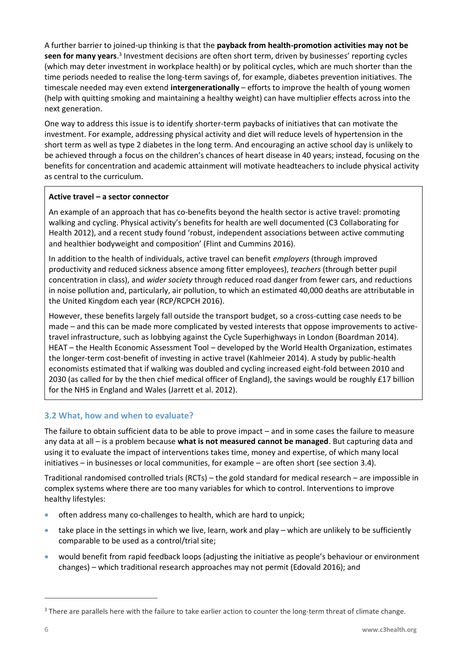A further barrier to joined-up thinking is that the **payback from health-promotion activities may not be**  seen for many years.<sup>3</sup> Investment decisions are often short term, driven by businesses' reporting cycles (which may deter investment in workplace health) or by political cycles, which are much shorter than the time periods needed to realise the long-term savings of, for example, diabetes prevention initiatives. The timescale needed may even extend **intergenerationally** – efforts to improve the health of young women (help with quitting smoking and maintaining a healthy weight) can have multiplier effects across into the next generation.

One way to address this issue is to identify shorter-term paybacks of initiatives that can motivate the investment. For example, addressing physical activity and diet will reduce levels of hypertension in the short term as well as type 2 diabetes in the long term. And encouraging an active school day is unlikely to be achieved through a focus on the children's chances of heart disease in 40 years; instead, focusing on the benefits for concentration and academic attainment will motivate headteachers to include physical activity as central to the curriculum.

#### **Active travel – a sector connector**

An example of an approach that has co-benefits beyond the health sector is active travel: promoting walking and cycling. Physical activity's benefits for health are well documented (C3 Collaborating for Health 2012), and a recent study found 'robust, independent associations between active commuting and healthier bodyweight and composition' (Flint and Cummins 2016).

In addition to the health of individuals, active travel can benefit *employers* (through improved productivity and reduced sickness absence among fitter employees), *teachers* (through better pupil concentration in class), and *wider society* through reduced road danger from fewer cars, and reductions in noise pollution and, particularly, air pollution, to which an estimated 40,000 deaths are attributable in the United Kingdom each year (RCP/RCPCH 2016).

However, these benefits largely fall outside the transport budget, so a cross-cutting case needs to be made – and this can be made more complicated by vested interests that oppose improvements to activetravel infrastructure, such as lobbying against the Cycle Superhighways in London (Boardman 2014). HEAT – the Health Economic Assessment Tool – developed by the World Health Organization, estimates the longer-term cost-benefit of investing in active travel (Kahlmeier 2014). A study by public-health economists estimated that if walking was doubled and cycling increased eight-fold between 2010 and 2030 (as called for by the then chief medical officer of England), the savings would be roughly £17 billion for the NHS in England and Wales (Jarrett et al. 2012).

## <span id="page-5-0"></span>**3.2 What, how and when to evaluate?**

The failure to obtain sufficient data to be able to prove impact – and in some cases the failure to measure any data at all – is a problem because **what is not measured cannot be managed**. But capturing data and using it to evaluate the impact of interventions takes time, money and expertise, of which many local initiatives – in businesses or local communities, for example – are often short (see section 3.4).

Traditional randomised controlled trials (RCTs) – the gold standard for medical research – are impossible in complex systems where there are too many variables for which to control. Interventions to improve healthy lifestyles:

- often address many co-challenges to health, which are hard to unpick;
- take place in the settings in which we live, learn, work and play which are unlikely to be sufficiently comparable to be used as a control/trial site;
- would benefit from rapid feedback loops (adjusting the initiative as people's behaviour or environment changes) – which traditional research approaches may not permit (Edovald 2016); and

<sup>&</sup>lt;sup>3</sup> There are parallels here with the failure to take earlier action to counter the long-term threat of climate change.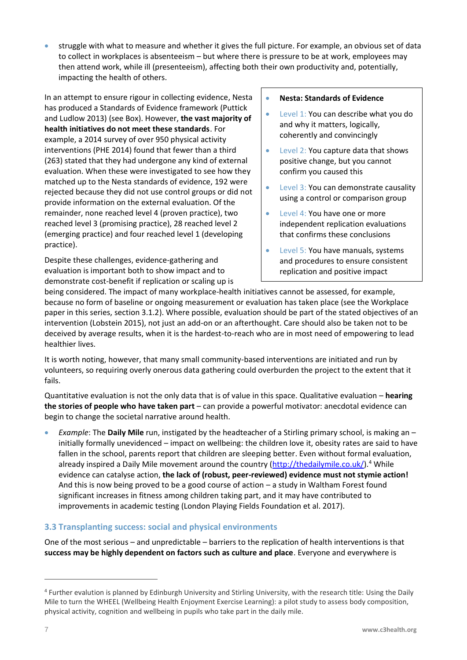• struggle with what to measure and whether it gives the full picture. For example, an obvious set of data to collect in workplaces is absenteeism – but where there is pressure to be at work, employees may then attend work, while ill (presenteeism), affecting both their own productivity and, potentially, impacting the health of others.

In an attempt to ensure rigour in collecting evidence, Nesta has produced a Standards of Evidence framework (Puttick and Ludlow 2013) (see Box). However, **the vast majority of health initiatives do not meet these standards**. For example, a 2014 survey of over 950 physical activity interventions (PHE 2014) found that fewer than a third (263) stated that they had undergone any kind of external evaluation. When these were investigated to see how they matched up to the Nesta standards of evidence, 192 were rejected because they did not use control groups or did not provide information on the external evaluation. Of the remainder, none reached level 4 (proven practice), two reached level 3 (promising practice), 28 reached level 2 (emerging practice) and four reached level 1 (developing practice).

Despite these challenges, evidence-gathering and evaluation is important both to show impact and to demonstrate cost-benefit if replication or scaling up is

#### • **Nesta: Standards of Evidence**

- Level 1: You can describe what you do and why it matters, logically, coherently and convincingly
- Level 2: You capture data that shows positive change, but you cannot confirm you caused this
- Level 3: You can demonstrate causality using a control or comparison group
- Level 4: You have one or more independent replication evaluations that confirms these conclusions
- Level 5: You have manuals, systems and procedures to ensure consistent replication and positive impact

being considered. The impact of many workplace-health initiatives cannot be assessed, for example, because no form of baseline or ongoing measurement or evaluation has taken place (see the Workplace paper in this series, section 3.1.2). Where possible, evaluation should be part of the stated objectives of an intervention (Lobstein 2015), not just an add-on or an afterthought. Care should also be taken not to be deceived by average results, when it is the hardest-to-reach who are in most need of empowering to lead healthier lives.

It is worth noting, however, that many small community-based interventions are initiated and run by volunteers, so requiring overly onerous data gathering could overburden the project to the extent that it fails.

Quantitative evaluation is not the only data that is of value in this space. Qualitative evaluation – **hearing the stories of people who have taken part** – can provide a powerful motivator: anecdotal evidence can begin to change the societal narrative around health.

• *Example*: The **Daily Mile** run, instigated by the headteacher of a Stirling primary school, is making an – initially formally unevidenced – impact on wellbeing: the children love it, obesity rates are said to have fallen in the school, parents report that children are sleeping better. Even without formal evaluation, already inspired a Daily Mile movement around the country [\(http://thedailymile.co.uk/\)](http://thedailymile.co.uk/).<sup>4</sup> While evidence can catalyse action, **the lack of (robust, peer-reviewed) evidence must not stymie action!** And this is now being proved to be a good course of action – a study in Waltham Forest found significant increases in fitness among children taking part, and it may have contributed to improvements in academic testing (London Playing Fields Foundation et al. 2017).

## <span id="page-6-0"></span>**3.3 Transplanting success: social and physical environments**

One of the most serious – and unpredictable – barriers to the replication of health interventions is that **success may be highly dependent on factors such as culture and place**. Everyone and everywhere is

<sup>4</sup> Further evalution is planned by Edinburgh University and Stirling University, with the research title: Using the Daily Mile to turn the WHEEL (Wellbeing Health Enjoyment Exercise Learning): a pilot study to assess body composition, physical activity, cognition and wellbeing in pupils who take part in the daily mile.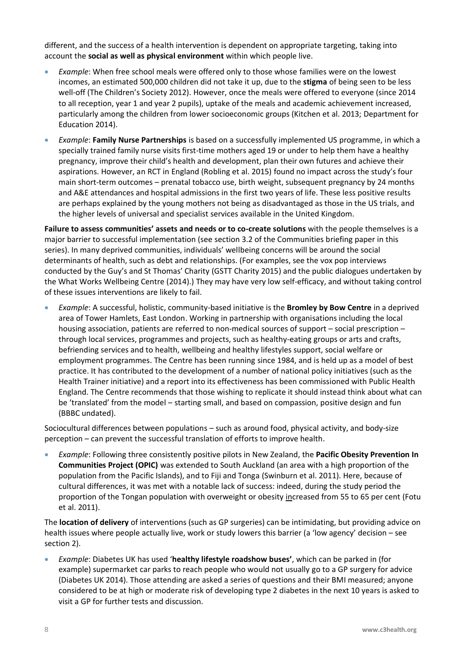different, and the success of a health intervention is dependent on appropriate targeting, taking into account the **social as well as physical environment** within which people live.

- *Example*: When free school meals were offered only to those whose families were on the lowest incomes, an estimated 500,000 children did not take it up, due to the **stigma** of being seen to be less well-off (The Children's Society 2012). However, once the meals were offered to everyone (since 2014 to all reception, year 1 and year 2 pupils), uptake of the meals and academic achievement increased, particularly among the children from lower socioeconomic groups (Kitchen et al. 2013; Department for Education 2014).
- *Example*: **Family Nurse Partnerships** is based on a successfully implemented US programme, in which a specially trained family nurse visits first-time mothers aged 19 or under to help them have a healthy pregnancy, improve their child's health and development, plan their own futures and achieve their aspirations. However, an RCT in England (Robling et al. 2015) found no impact across the study's four main short-term outcomes – prenatal tobacco use, birth weight, subsequent pregnancy by 24 months and A&E attendances and hospital admissions in the first two years of life. These less positive results are perhaps explained by the young mothers not being as disadvantaged as those in the US trials, and the higher levels of universal and specialist services available in the United Kingdom.

**Failure to assess communities' assets and needs or to co-create solutions** with the people themselves is a major barrier to successful implementation (see section 3.2 of the Communities briefing paper in this series). In many deprived communities, individuals' wellbeing concerns will be around the social determinants of health, such as debt and relationships. (For examples, see the vox pop interviews conducted by the Guy's and St Thomas' Charity (GSTT Charity 2015) and the public dialogues undertaken by the What Works Wellbeing Centre (2014).) They may have very low self-efficacy, and without taking control of these issues interventions are likely to fail.

• *Example*: A successful, holistic, community-based initiative is the **Bromley by Bow Centre** in a deprived area of Tower Hamlets, East London. Working in partnership with organisations including the local housing association, patients are referred to non-medical sources of support – social prescription – through local services, programmes and projects, such as healthy-eating groups or arts and crafts, befriending services and to health, wellbeing and healthy lifestyles support, social welfare or employment programmes. The Centre has been running since 1984, and is held up as a model of best practice. It has contributed to the development of a number of national policy initiatives (such as the Health Trainer initiative) and a report into its effectiveness has been commissioned with Public Health England. The Centre recommends that those wishing to replicate it should instead think about what can be 'translated' from the model – starting small, and based on compassion, positive design and fun (BBBC undated).

Sociocultural differences between populations – such as around food, physical activity, and body-size perception – can prevent the successful translation of efforts to improve health.

• *Example*: Following three consistently positive pilots in New Zealand, the **Pacific Obesity Prevention In Communities Project (OPIC)** was extended to South Auckland (an area with a high proportion of the population from the Pacific Islands), and to Fiji and Tonga (Swinburn et al. 2011). Here, because of cultural differences, it was met with a notable lack of success: indeed, during the study period the proportion of the Tongan population with overweight or obesity increased from 55 to 65 per cent (Fotu et al. 2011).

The **location of delivery** of interventions (such as GP surgeries) can be intimidating, but providing advice on health issues where people actually live, work or study lowers this barrier (a 'low agency' decision – see section 2).

• *Example*: Diabetes UK has used '**healthy lifestyle roadshow buses'**, which can be parked in (for example) supermarket car parks to reach people who would not usually go to a GP surgery for advice (Diabetes UK 2014). Those attending are asked a series of questions and their BMI measured; anyone considered to be at high or moderate risk of developing type 2 diabetes in the next 10 years is asked to visit a GP for further tests and discussion.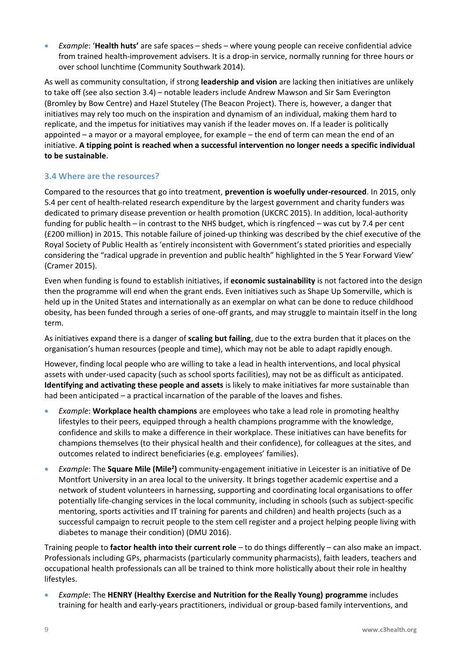• *Example*: '**Health huts'** are safe spaces – sheds – where young people can receive confidential advice from trained health-improvement advisers. It is a drop-in service, normally running for three hours or over school lunchtime (Community Southwark 2014).

As well as community consultation, if strong **leadership and vision** are lacking then initiatives are unlikely to take off (see also section 3.4) – notable leaders include Andrew Mawson and Sir Sam Everington (Bromley by Bow Centre) and Hazel Stuteley (The Beacon Project). There is, however, a danger that initiatives may rely too much on the inspiration and dynamism of an individual, making them hard to replicate, and the impetus for initiatives may vanish if the leader moves on. If a leader is politically appointed – a mayor or a mayoral employee, for example – the end of term can mean the end of an initiative. **A tipping point is reached when a successful intervention no longer needs a specific individual to be sustainable**.

## <span id="page-8-0"></span>**3.4 Where are the resources?**

Compared to the resources that go into treatment, **prevention is woefully under-resourced**. In 2015, only 5.4 per cent of health-related research expenditure by the largest government and charity funders was dedicated to primary disease prevention or health promotion (UKCRC 2015). In addition, local-authority funding for public health – in contrast to the NHS budget, which is ringfenced – was cut by 7.4 per cent (£200 million) in 2015. This notable failure of joined-up thinking was described by the chief executive of the Royal Society of Public Health as 'entirely inconsistent with Government's stated priorities and especially considering the "radical upgrade in prevention and public health" highlighted in the 5 Year Forward View' (Cramer 2015).

Even when funding is found to establish initiatives, if **economic sustainability** is not factored into the design then the programme will end when the grant ends. Even initiatives such as Shape Up Somerville, which is held up in the United States and internationally as an exemplar on what can be done to reduce childhood obesity, has been funded through a series of one-off grants, and may struggle to maintain itself in the long term.

As initiatives expand there is a danger of **scaling but failing**, due to the extra burden that it places on the organisation's human resources (people and time), which may not be able to adapt rapidly enough.

However, finding local people who are willing to take a lead in health interventions, and local physical assets with under-used capacity (such as school sports facilities), may not be as difficult as anticipated. **Identifying and activating these people and assets** is likely to make initiatives far more sustainable than had been anticipated – a practical incarnation of the parable of the loaves and fishes.

- *Example*: **Workplace health champions** are employees who take a lead role in promoting healthy lifestyles to their peers, equipped through a health champions programme with the knowledge, confidence and skills to make a difference in their workplace. These initiatives can have benefits for champions themselves (to their physical health and their confidence), for colleagues at the sites, and outcomes related to indirect beneficiaries (e.g. employees' families).
- *Example*: The **Square Mile (Mile<sup>2</sup>)** community-engagement initiative in Leicester is an initiative of De Montfort University in an area local to the university. It brings together academic expertise and a network of student volunteers in harnessing, supporting and coordinating local organisations to offer potentially life-changing services in the local community, including in schools (such as subject-specific mentoring, sports activities and IT training for parents and children) and health projects (such as a successful campaign to recruit people to the stem cell register and a project helping people living with diabetes to manage their condition) (DMU 2016).

Training people to **factor health into their current role** – to do things differently – can also make an impact. Professionals including GPs, pharmacists (particularly community pharmacists), faith leaders, teachers and occupational health professionals can all be trained to think more holistically about their role in healthy lifestyles.

• *Example*: The **HENRY (Healthy Exercise and Nutrition for the Really Young) programme** includes training for health and early-years practitioners, individual or group-based family interventions, and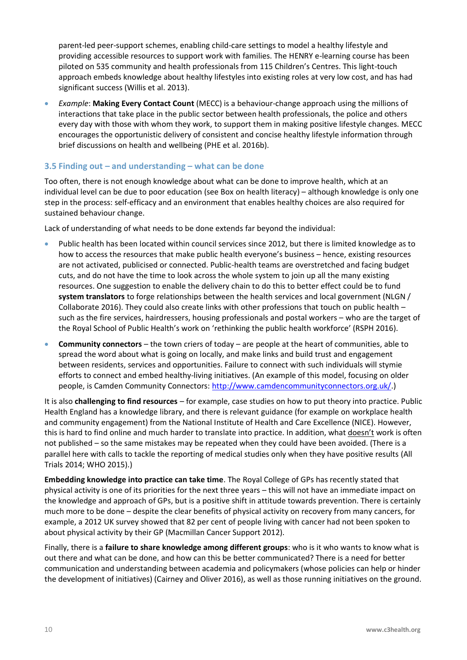parent-led peer-support schemes, enabling child-care settings to model a healthy lifestyle and providing accessible resources to support work with families. The HENRY e-learning course has been piloted on 535 community and health professionals from 115 Children's Centres. This light-touch approach embeds knowledge about healthy lifestyles into existing roles at very low cost, and has had significant success (Willis et al. 2013).

• *Example*: **Making Every Contact Count** (MECC) is a behaviour-change approach using the millions of interactions that take place in the public sector between health professionals, the police and others every day with those with whom they work, to support them in making positive lifestyle changes. MECC encourages the opportunistic delivery of consistent and concise healthy lifestyle information through brief discussions on health and wellbeing (PHE et al. 2016b).

## <span id="page-9-0"></span>**3.5 Finding out – and understanding – what can be done**

Too often, there is not enough knowledge about what can be done to improve health, which at an individual level can be due to poor education (see Box on health literacy) – although knowledge is only one step in the process: self-efficacy and an environment that enables healthy choices are also required for sustained behaviour change.

Lack of understanding of what needs to be done extends far beyond the individual:

- Public health has been located within council services since 2012, but there is limited knowledge as to how to access the resources that make public health everyone's business – hence, existing resources are not activated, publicised or connected. Public-health teams are overstretched and facing budget cuts, and do not have the time to look across the whole system to join up all the many existing resources. One suggestion to enable the delivery chain to do this to better effect could be to fund **system translators** to forge relationships between the health services and local government (NLGN / Collaborate 2016). They could also create links with other professions that touch on public health – such as the fire services, hairdressers, housing professionals and postal workers – who are the target of the Royal School of Public Health's work on 'rethinking the public health workforce' (RSPH 2016).
- **Community connectors** the town criers of today are people at the heart of communities, able to spread the word about what is going on locally, and make links and build trust and engagement between residents, services and opportunities. Failure to connect with such individuals will stymie efforts to connect and embed healthy-living initiatives. (An example of this model, focusing on older people, is Camden Community Connectors: [http://www.camdencommunityconnectors.org.uk/.](http://www.camdencommunityconnectors.org.uk/))

It is also **challenging to find resources** – for example, case studies on how to put theory into practice. Public Health England has a knowledge library, and there is relevant guidance (for example on workplace health and community engagement) from the National Institute of Health and Care Excellence (NICE). However, this is hard to find online and much harder to translate into practice. In addition, what doesn't work is often not published – so the same mistakes may be repeated when they could have been avoided. (There is a parallel here with calls to tackle the reporting of medical studies only when they have positive results (All Trials 2014; WHO 2015).)

**Embedding knowledge into practice can take time**. The Royal College of GPs has recently stated that physical activity is one of its priorities for the next three years – this will not have an immediate impact on the knowledge and approach of GPs, but is a positive shift in attitude towards prevention. There is certainly much more to be done – despite the clear benefits of physical activity on recovery from many cancers, for example, a 2012 UK survey showed that 82 per cent of people living with cancer had not been spoken to about physical activity by their GP (Macmillan Cancer Support 2012).

Finally, there is a **failure to share knowledge among different groups**: who is it who wants to know what is out there and what can be done, and how can this be better communicated? There is a need for better communication and understanding between academia and policymakers (whose policies can help or hinder the development of initiatives) (Cairney and Oliver 2016), as well as those running initiatives on the ground.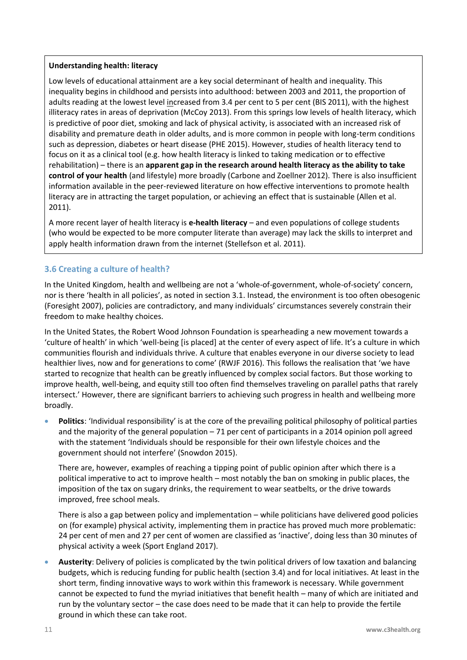#### **Understanding health: literacy**

Low levels of educational attainment are a key social determinant of health and inequality. This inequality begins in childhood and persists into adulthood: between 2003 and 2011, the proportion of adults reading at the lowest level increased from 3.4 per cent to 5 per cent (BIS 2011), with the highest illiteracy rates in areas of deprivation (McCoy 2013). From this springs low levels of health literacy, which is predictive of poor diet, smoking and lack of physical activity, is associated with an increased risk of disability and premature death in older adults, and is more common in people with long-term conditions such as depression, diabetes or heart disease (PHE 2015). However, studies of health literacy tend to focus on it as a clinical tool (e.g. how health literacy is linked to taking medication or to effective rehabilitation) – there is an **apparent gap in the research around health literacy as the ability to take control of your health** (and lifestyle) more broadly (Carbone and Zoellner 2012). There is also insufficient information available in the peer-reviewed literature on how effective interventions to promote health literacy are in attracting the target population, or achieving an effect that is sustainable (Allen et al. 2011).

A more recent layer of health literacy is **e-health literacy** – and even populations of college students (who would be expected to be more computer literate than average) may lack the skills to interpret and apply health information drawn from the internet (Stellefson et al. 2011).

## <span id="page-10-0"></span>**3.6 Creating a culture of health?**

In the United Kingdom, health and wellbeing are not a 'whole-of-government, whole-of-society' concern, nor is there 'health in all policies', as noted in section 3.1. Instead, the environment is too often obesogenic (Foresight 2007), policies are contradictory, and many individuals' circumstances severely constrain their freedom to make healthy choices.

In the United States, the Robert Wood Johnson Foundation is spearheading a new movement towards a 'culture of health' in which 'well-being [is placed] at the center of every aspect of life. It's a culture in which communities flourish and individuals thrive. A culture that enables everyone in our diverse society to lead healthier lives, now and for generations to come' (RWJF 2016). This follows the realisation that 'we have started to recognize that health can be greatly influenced by complex social factors. But those working to improve health, well-being, and equity still too often find themselves traveling on parallel paths that rarely intersect.' However, there are significant barriers to achieving such progress in health and wellbeing more broadly.

• **Politics**: 'Individual responsibility' is at the core of the prevailing political philosophy of political parties and the majority of the general population – 71 per cent of participants in a 2014 opinion poll agreed with the statement 'Individuals should be responsible for their own lifestyle choices and the government should not interfere' (Snowdon 2015).

There are, however, examples of reaching a tipping point of public opinion after which there is a political imperative to act to improve health – most notably the ban on smoking in public places, the imposition of the tax on sugary drinks, the requirement to wear seatbelts, or the drive towards improved, free school meals.

There is also a gap between policy and implementation – while politicians have delivered good policies on (for example) physical activity, implementing them in practice has proved much more problematic: 24 per cent of men and 27 per cent of women are classified as 'inactive', doing less than 30 minutes of physical activity a week (Sport England 2017).

• **Austerity**: Delivery of policies is complicated by the twin political drivers of low taxation and balancing budgets, which is reducing funding for public health (section 3.4) and for local initiatives. At least in the short term, finding innovative ways to work within this framework is necessary. While government cannot be expected to fund the myriad initiatives that benefit health – many of which are initiated and run by the voluntary sector – the case does need to be made that it can help to provide the fertile ground in which these can take root.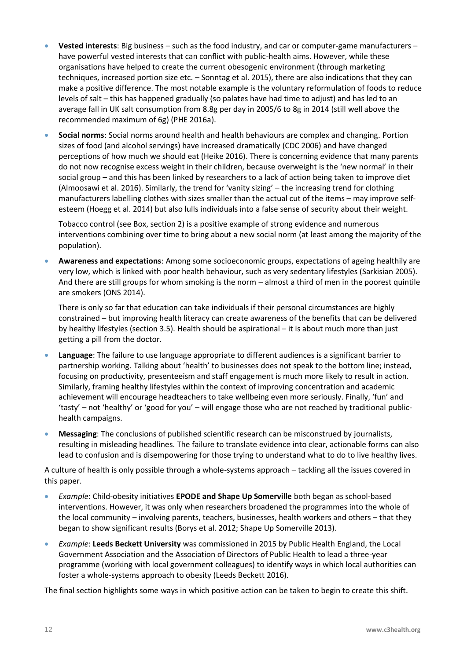- **Vested interests**: Big business such as the food industry, and car or computer-game manufacturers have powerful vested interests that can conflict with public-health aims. However, while these organisations have helped to create the current obesogenic environment (through marketing techniques, increased portion size etc. – Sonntag et al. 2015), there are also indications that they can make a positive difference. The most notable example is the voluntary reformulation of foods to reduce levels of salt – this has happened gradually (so palates have had time to adjust) and has led to an average fall in UK salt consumption from 8.8g per day in 2005/6 to 8g in 2014 (still well above the recommended maximum of 6g) (PHE 2016a).
- **Social norms**: Social norms around health and health behaviours are complex and changing. Portion sizes of food (and alcohol servings) have increased dramatically (CDC 2006) and have changed perceptions of how much we should eat (Heike 2016). There is concerning evidence that many parents do not now recognise excess weight in their children, because overweight is the 'new normal' in their social group – and this has been linked by researchers to a lack of action being taken to improve diet (Almoosawi et al. 2016). Similarly, the trend for 'vanity sizing' – the increasing trend for clothing manufacturers labelling clothes with sizes smaller than the actual cut of the items – may improve selfesteem (Hoegg et al. 2014) but also lulls individuals into a false sense of security about their weight.

Tobacco control (see Box, section 2) is a positive example of strong evidence and numerous interventions combining over time to bring about a new social norm (at least among the majority of the population).

• **Awareness and expectations**: Among some socioeconomic groups, expectations of ageing healthily are very low, which is linked with poor health behaviour, such as very sedentary lifestyles (Sarkisian 2005). And there are still groups for whom smoking is the norm – almost a third of men in the poorest quintile are smokers (ONS 2014).

There is only so far that education can take individuals if their personal circumstances are highly constrained – but improving health literacy can create awareness of the benefits that can be delivered by healthy lifestyles (section 3.5). Health should be aspirational – it is about much more than just getting a pill from the doctor.

- **Language**: The failure to use language appropriate to different audiences is a significant barrier to partnership working. Talking about 'health' to businesses does not speak to the bottom line; instead, focusing on productivity, presenteeism and staff engagement is much more likely to result in action. Similarly, framing healthy lifestyles within the context of improving concentration and academic achievement will encourage headteachers to take wellbeing even more seriously. Finally, 'fun' and 'tasty' – not 'healthy' or 'good for you' – will engage those who are not reached by traditional publichealth campaigns.
- **Messaging**: The conclusions of published scientific research can be misconstrued by journalists, resulting in misleading headlines. The failure to translate evidence into clear, actionable forms can also lead to confusion and is disempowering for those trying to understand what to do to live healthy lives.

A culture of health is only possible through a whole-systems approach – tackling all the issues covered in this paper.

- *Example*: Child-obesity initiatives **EPODE and Shape Up Somerville** both began as school-based interventions. However, it was only when researchers broadened the programmes into the whole of the local community – involving parents, teachers, businesses, health workers and others – that they began to show significant results (Borys et al. 2012; Shape Up Somerville 2013).
- *Example*: **Leeds Beckett University** was commissioned in 2015 by Public Health England, the Local Government Association and the Association of Directors of Public Health to lead a three-year programme (working with local government colleagues) to identify ways in which local authorities can foster a whole-systems approach to obesity (Leeds Beckett 2016).

The final section highlights some ways in which positive action can be taken to begin to create this shift.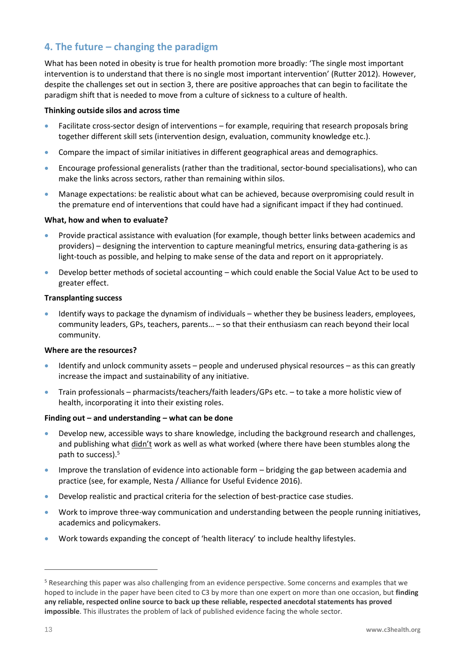# <span id="page-12-0"></span>**4. The future – changing the paradigm**

What has been noted in obesity is true for health promotion more broadly: 'The single most important intervention is to understand that there is no single most important intervention' (Rutter 2012). However, despite the challenges set out in section 3, there are positive approaches that can begin to facilitate the paradigm shift that is needed to move from a culture of sickness to a culture of health.

#### **Thinking outside silos and across time**

- Facilitate cross-sector design of interventions for example, requiring that research proposals bring together different skill sets (intervention design, evaluation, community knowledge etc.).
- Compare the impact of similar initiatives in different geographical areas and demographics.
- Encourage professional generalists (rather than the traditional, sector-bound specialisations), who can make the links across sectors, rather than remaining within silos.
- Manage expectations: be realistic about what can be achieved, because overpromising could result in the premature end of interventions that could have had a significant impact if they had continued.

#### **What, how and when to evaluate?**

- Provide practical assistance with evaluation (for example, though better links between academics and providers) – designing the intervention to capture meaningful metrics, ensuring data-gathering is as light-touch as possible, and helping to make sense of the data and report on it appropriately.
- Develop better methods of societal accounting which could enable the Social Value Act to be used to greater effect.

#### **Transplanting success**

• Identify ways to package the dynamism of individuals – whether they be business leaders, employees, community leaders, GPs, teachers, parents… – so that their enthusiasm can reach beyond their local community.

#### **Where are the resources?**

- Identify and unlock community assets people and underused physical resources as this can greatly increase the impact and sustainability of any initiative.
- Train professionals pharmacists/teachers/faith leaders/GPs etc. to take a more holistic view of health, incorporating it into their existing roles.

#### **Finding out – and understanding – what can be done**

- Develop new, accessible ways to share knowledge, including the background research and challenges, and publishing what didn't work as well as what worked (where there have been stumbles along the path to success). 5
- Improve the translation of evidence into actionable form bridging the gap between academia and practice (see, for example, Nesta / Alliance for Useful Evidence 2016).
- Develop realistic and practical criteria for the selection of best-practice case studies.
- Work to improve three-way communication and understanding between the people running initiatives, academics and policymakers.
- Work towards expanding the concept of 'health literacy' to include healthy lifestyles.

<sup>5</sup> Researching this paper was also challenging from an evidence perspective. Some concerns and examples that we hoped to include in the paper have been cited to C3 by more than one expert on more than one occasion, but **finding any reliable, respected online source to back up these reliable, respected anecdotal statements has proved impossible**. This illustrates the problem of lack of published evidence facing the whole sector.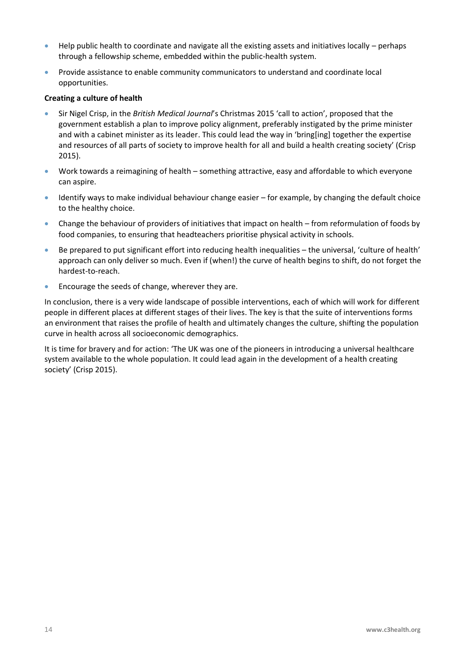- Help public health to coordinate and navigate all the existing assets and initiatives locally perhaps through a fellowship scheme, embedded within the public-health system.
- Provide assistance to enable community communicators to understand and coordinate local opportunities.

#### **Creating a culture of health**

- Sir Nigel Crisp, in the *British Medical Journal*'s Christmas 2015 'call to action', proposed that the government establish a plan to improve policy alignment, preferably instigated by the prime minister and with a cabinet minister as its leader. This could lead the way in 'bring[ing] together the expertise and resources of all parts of society to improve health for all and build a health creating society' (Crisp 2015).
- Work towards a reimagining of health something attractive, easy and affordable to which everyone can aspire.
- Identify ways to make individual behaviour change easier for example, by changing the default choice to the healthy choice.
- Change the behaviour of providers of initiatives that impact on health from reformulation of foods by food companies, to ensuring that headteachers prioritise physical activity in schools.
- Be prepared to put significant effort into reducing health inequalities the universal, 'culture of health' approach can only deliver so much. Even if (when!) the curve of health begins to shift, do not forget the hardest-to-reach.
- Encourage the seeds of change, wherever they are.

In conclusion, there is a very wide landscape of possible interventions, each of which will work for different people in different places at different stages of their lives. The key is that the suite of interventions forms an environment that raises the profile of health and ultimately changes the culture, shifting the population curve in health across all socioeconomic demographics.

It is time for bravery and for action: 'The UK was one of the pioneers in introducing a universal healthcare system available to the whole population. It could lead again in the development of a health creating society' (Crisp 2015).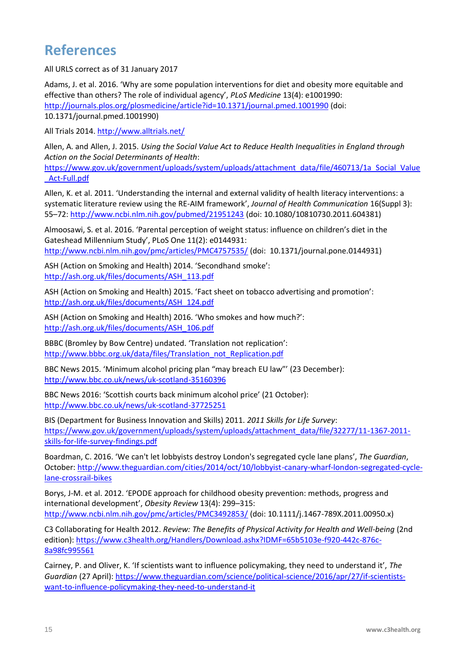# <span id="page-14-0"></span>**References**

All URLS correct as of 31 January 2017

Adams, J. et al. 2016. 'Why are some population interventions for diet and obesity more equitable and effective than others? The role of individual agency', *PLoS Medicine* 13(4): e1001990: <http://journals.plos.org/plosmedicine/article?id=10.1371/journal.pmed.1001990> (doi: 10.1371/journal.pmed.1001990)

All Trials 2014.<http://www.alltrials.net/>

Allen, A. and Allen, J. 2015. *Using the Social Value Act to Reduce Health Inequalities in England through Action on the Social Determinants of Health*:

[https://www.gov.uk/government/uploads/system/uploads/attachment\\_data/file/460713/1a\\_Social\\_Value](https://www.gov.uk/government/uploads/system/uploads/attachment_data/file/460713/1a_Social_Value_Act-Full.pdf) [\\_Act-Full.pdf](https://www.gov.uk/government/uploads/system/uploads/attachment_data/file/460713/1a_Social_Value_Act-Full.pdf)

Allen, K. et al. 2011. 'Understanding the internal and external validity of health literacy interventions: a systematic literature review using the RE-AIM framework', *Journal of Health Communication* 16(Suppl 3): 55–72:<http://www.ncbi.nlm.nih.gov/pubmed/21951243> (doi: 10.1080/10810730.2011.604381)

Almoosawi, S. et al. 2016. 'Parental perception of weight status: influence on children's diet in the Gateshead Millennium Study', PLoS One 11(2): e0144931: <http://www.ncbi.nlm.nih.gov/pmc/articles/PMC4757535/> (doi: 10.1371/journal.pone.0144931)

ASH (Action on Smoking and Health) 2014. 'Secondhand smoke': [http://ash.org.uk/files/documents/ASH\\_113.pdf](http://ash.org.uk/files/documents/ASH_113.pdf)

ASH (Action on Smoking and Health) 2015. 'Fact sheet on tobacco advertising and promotion': [http://ash.org.uk/files/documents/ASH\\_124.pdf](http://ash.org.uk/files/documents/ASH_124.pdf)

ASH (Action on Smoking and Health) 2016. 'Who smokes and how much?': [http://ash.org.uk/files/documents/ASH\\_106.pdf](http://ash.org.uk/files/documents/ASH_106.pdf)

BBBC (Bromley by Bow Centre) undated. 'Translation not replication': [http://www.bbbc.org.uk/data/files/Translation\\_not\\_Replication.pdf](http://www.bbbc.org.uk/data/files/Translation_not_Replication.pdf)

BBC News 2015. 'Minimum alcohol pricing plan "may breach EU law"' (23 December): <http://www.bbc.co.uk/news/uk-scotland-35160396>

BBC News 2016: 'Scottish courts back minimum alcohol price' (21 October): <http://www.bbc.co.uk/news/uk-scotland-37725251>

BIS (Department for Business Innovation and Skills) 2011. *2011 Skills for Life Survey*: [https://www.gov.uk/government/uploads/system/uploads/attachment\\_data/file/32277/11-1367-2011](https://www.gov.uk/government/uploads/system/uploads/attachment_data/file/32277/11-1367-2011-skills-for-life-survey-findings.pdf) [skills-for-life-survey-findings.pdf](https://www.gov.uk/government/uploads/system/uploads/attachment_data/file/32277/11-1367-2011-skills-for-life-survey-findings.pdf)

Boardman, C. 2016. 'We can't let lobbyists destroy London's segregated cycle lane plans', *The Guardian*, October[: http://www.theguardian.com/cities/2014/oct/10/lobbyist-canary-wharf-london-segregated-cycle](http://www.theguardian.com/cities/2014/oct/10/lobbyist-canary-wharf-london-segregated-cycle-lane-crossrail-bikes)[lane-crossrail-bikes](http://www.theguardian.com/cities/2014/oct/10/lobbyist-canary-wharf-london-segregated-cycle-lane-crossrail-bikes)

Borys, J-M. et al. 2012. 'EPODE approach for childhood obesity prevention: methods, progress and international development', *Obesity Review* 13(4): 299–315: <http://www.ncbi.nlm.nih.gov/pmc/articles/PMC3492853/> (doi: 10.1111/j.1467-789X.2011.00950.x)

C3 Collaborating for Health 2012. *Review: The Benefits of Physical Activity for Health and Well-being* (2nd edition): [https://www.c3health.org/Handlers/Download.ashx?IDMF=65b5103e-f920-442c-876c-](https://www.c3health.org/Handlers/Download.ashx?IDMF=65b5103e-f920-442c-876c-8a98fc995561)[8a98fc995561](https://www.c3health.org/Handlers/Download.ashx?IDMF=65b5103e-f920-442c-876c-8a98fc995561)

Cairney, P. and Oliver, K. 'If scientists want to influence policymaking, they need to understand it', *The Guardian* (27 April): [https://www.theguardian.com/science/political-science/2016/apr/27/if-scientists](https://www.theguardian.com/science/political-science/2016/apr/27/if-scientists-want-to-influence-policymaking-they-need-to-understand-it)[want-to-influence-policymaking-they-need-to-understand-it](https://www.theguardian.com/science/political-science/2016/apr/27/if-scientists-want-to-influence-policymaking-they-need-to-understand-it)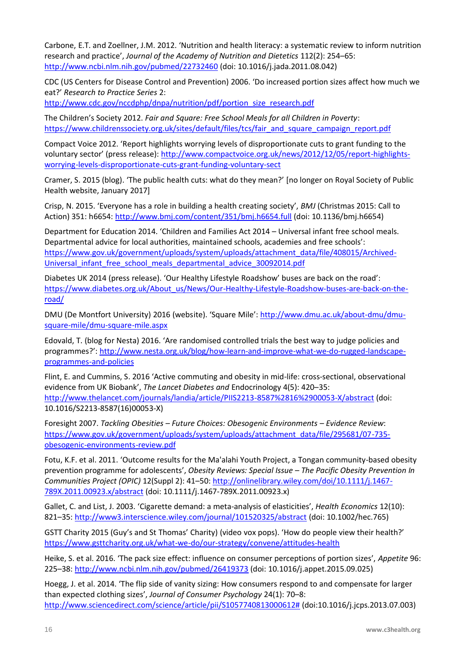Carbone, E.T. and Zoellner, J.M. 2012. 'Nutrition and health literacy: a systematic review to inform nutrition research and practice', *Journal of the Academy of Nutrition and Dietetics* 112(2): 254–65: <http://www.ncbi.nlm.nih.gov/pubmed/22732460> (doi: 10.1016/j.jada.2011.08.042)

CDC (US Centers for Disease Control and Prevention) 2006. 'Do increased portion sizes affect how much we eat?' *Research to Practice Series* 2:

[http://www.cdc.gov/nccdphp/dnpa/nutrition/pdf/portion\\_size\\_research.pdf](http://www.cdc.gov/nccdphp/dnpa/nutrition/pdf/portion_size_research.pdf)

The Children's Society 2012. *Fair and Square: Free School Meals for all Children in Poverty*: [https://www.childrenssociety.org.uk/sites/default/files/tcs/fair\\_and\\_square\\_campaign\\_report.pdf](https://www.childrenssociety.org.uk/sites/default/files/tcs/fair_and_square_campaign_report.pdf)

Compact Voice 2012. 'Report highlights worrying levels of disproportionate cuts to grant funding to the voluntary sector' (press release): [http://www.compactvoice.org.uk/news/2012/12/05/report-highlights](http://www.compactvoice.org.uk/news/2012/12/05/report-highlights-worrying-levels-disproportionate-cuts-grant-funding-voluntary-sect)[worrying-levels-disproportionate-cuts-grant-funding-voluntary-sect](http://www.compactvoice.org.uk/news/2012/12/05/report-highlights-worrying-levels-disproportionate-cuts-grant-funding-voluntary-sect)

Cramer, S. 2015 (blog). 'The public health cuts: what do they mean?' [no longer on Royal Society of Public Health website, January 2017]

Crisp, N. 2015. 'Everyone has a role in building a health creating society', *BMJ* (Christmas 2015: Call to Action) 351: h6654:<http://www.bmj.com/content/351/bmj.h6654.full> (doi: 10.1136/bmj.h6654)

Department for Education 2014. 'Children and Families Act 2014 – Universal infant free school meals. Departmental advice for local authorities, maintained schools, academies and free schools': [https://www.gov.uk/government/uploads/system/uploads/attachment\\_data/file/408015/Archived-](https://www.gov.uk/government/uploads/system/uploads/attachment_data/file/408015/Archived-Universal_infant_free_school_meals_departmental_advice_30092014.pdf)[Universal\\_infant\\_free\\_school\\_meals\\_departmental\\_advice\\_30092014.pdf](https://www.gov.uk/government/uploads/system/uploads/attachment_data/file/408015/Archived-Universal_infant_free_school_meals_departmental_advice_30092014.pdf)

Diabetes UK 2014 (press release). 'Our Healthy Lifestyle Roadshow' buses are back on the road': [https://www.diabetes.org.uk/About\\_us/News/Our-Healthy-Lifestyle-Roadshow-buses-are-back-on-the](https://www.diabetes.org.uk/About_us/News/Our-Healthy-Lifestyle-Roadshow-buses-are-back-on-the-road/)[road/](https://www.diabetes.org.uk/About_us/News/Our-Healthy-Lifestyle-Roadshow-buses-are-back-on-the-road/)

DMU (De Montfort University) 2016 (website). 'Square Mile': [http://www.dmu.ac.uk/about-dmu/dmu](http://www.dmu.ac.uk/about-dmu/dmu-square-mile/dmu-square-mile.aspx)[square-mile/dmu-square-mile.aspx](http://www.dmu.ac.uk/about-dmu/dmu-square-mile/dmu-square-mile.aspx)

Edovald, T. (blog for Nesta) 2016. 'Are randomised controlled trials the best way to judge policies and programmes?': [http://www.nesta.org.uk/blog/how-learn-and-improve-what-we-do-rugged-landscape](http://www.nesta.org.uk/blog/how-learn-and-improve-what-we-do-rugged-landscape-programmes-and-policies)[programmes-and-policies](http://www.nesta.org.uk/blog/how-learn-and-improve-what-we-do-rugged-landscape-programmes-and-policies)

Flint, E. and Cummins, S. 2016 'Active commuting and obesity in mid-life: cross-sectional, observational evidence from UK Biobank', *The Lancet Diabetes and* Endocrinology 4(5): 420–35: <http://www.thelancet.com/journals/landia/article/PIIS2213-8587%2816%2900053-X/abstract> (doi: 10.1016/S2213-8587(16)00053-X)

Foresight 2007. *Tackling Obesities – Future Choices: Obesogenic Environments – Evidence Review*: [https://www.gov.uk/government/uploads/system/uploads/attachment\\_data/file/295681/07-735](https://www.gov.uk/government/uploads/system/uploads/attachment_data/file/295681/07-735-obesogenic-environments-review.pdf) [obesogenic-environments-review.pdf](https://www.gov.uk/government/uploads/system/uploads/attachment_data/file/295681/07-735-obesogenic-environments-review.pdf)

Fotu, K.F. et al. 2011. 'Outcome results for the Ma'alahi Youth Project, a Tongan community-based obesity prevention programme for adolescents', *Obesity Reviews: Special Issue – The Pacific Obesity Prevention In Communities Project (OPIC)* 12(Suppl 2): 41–50: [http://onlinelibrary.wiley.com/doi/10.1111/j.1467-](http://onlinelibrary.wiley.com/doi/10.1111/j.1467-789X.2011.00923.x/abstract) [789X.2011.00923.x/abstract](http://onlinelibrary.wiley.com/doi/10.1111/j.1467-789X.2011.00923.x/abstract) (doi: 10.1111/j.1467-789X.2011.00923.x)

Gallet, C. and List, J. 2003. 'Cigarette demand: a meta-analysis of elasticities', *Health Economics* 12(10): 821–35:<http://www3.interscience.wiley.com/journal/101520325/abstract> (doi: 10.1002/hec.765)

GSTT Charity 2015 (Guy's and St Thomas' Charity) (video vox pops). 'How do people view their health?' <https://www.gsttcharity.org.uk/what-we-do/our-strategy/convene/attitudes-health>

Heike, S. et al. 2016. 'The pack size effect: influence on consumer perceptions of portion sizes', *Appetite* 96: 225–38:<http://www.ncbi.nlm.nih.gov/pubmed/26419373> (doi: 10.1016/j.appet.2015.09.025)

Hoegg, J. et al. 2014. 'The flip side of vanity sizing: How consumers respond to and compensate for larger than expected clothing sizes', *Journal of Consumer Psychology* 24(1): 70–8: [http://www.sciencedirect.com/science/article/pii/S1057740813000612#](http://www.sciencedirect.com/science/article/pii/S1057740813000612) (doi:10.1016/j.jcps.2013.07.003)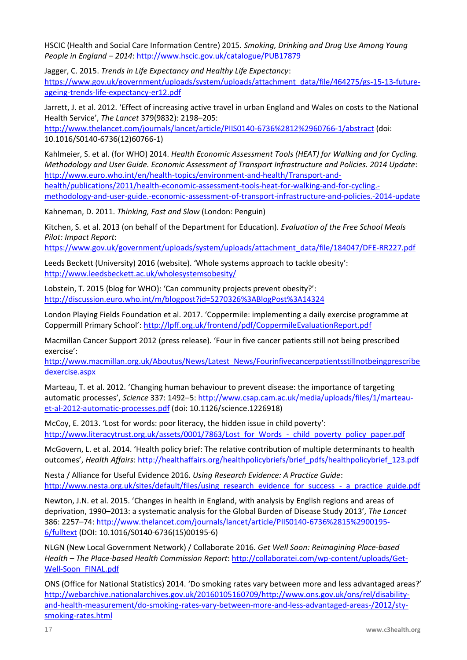HSCIC (Health and Social Care Information Centre) 2015. *Smoking, Drinking and Drug Use Among Young People in England – 2014*:<http://www.hscic.gov.uk/catalogue/PUB17879>

Jagger, C. 2015. *Trends in Life Expectancy and Healthy Life Expectancy*: [https://www.gov.uk/government/uploads/system/uploads/attachment\\_data/file/464275/gs-15-13-future](https://www.gov.uk/government/uploads/system/uploads/attachment_data/file/464275/gs-15-13-future-ageing-trends-life-expectancy-er12.pdf)[ageing-trends-life-expectancy-er12.pdf](https://www.gov.uk/government/uploads/system/uploads/attachment_data/file/464275/gs-15-13-future-ageing-trends-life-expectancy-er12.pdf)

Jarrett, J. et al. 2012. 'Effect of increasing active travel in urban England and Wales on costs to the National Health Service', *The Lancet* 379(9832): 2198–205:

<http://www.thelancet.com/journals/lancet/article/PIIS0140-6736%2812%2960766-1/abstract> (doi: 10.1016/S0140-6736(12)60766-1)

Kahlmeier, S. et al. (for WHO) 2014. *Health Economic Assessment Tools (HEAT) for Walking and for Cycling. Methodology and User Guide. Economic Assessment of Transport Infrastructure and Policies. 2014 Update*: [http://www.euro.who.int/en/health-topics/environment-and-health/Transport-and-](http://www.euro.who.int/en/health-topics/environment-and-health/Transport-and-health/publications/2011/health-economic-assessment-tools-heat-for-walking-and-for-cycling.-methodology-and-user-guide.-economic-assessment-of-transport-infrastructure-and-policies.-2014-update)

[health/publications/2011/health-economic-assessment-tools-heat-for-walking-and-for-cycling.-](http://www.euro.who.int/en/health-topics/environment-and-health/Transport-and-health/publications/2011/health-economic-assessment-tools-heat-for-walking-and-for-cycling.-methodology-and-user-guide.-economic-assessment-of-transport-infrastructure-and-policies.-2014-update)

[methodology-and-user-guide.-economic-assessment-of-transport-infrastructure-and-policies.-2014-update](http://www.euro.who.int/en/health-topics/environment-and-health/Transport-and-health/publications/2011/health-economic-assessment-tools-heat-for-walking-and-for-cycling.-methodology-and-user-guide.-economic-assessment-of-transport-infrastructure-and-policies.-2014-update)

Kahneman, D. 2011. *Thinking, Fast and Slow* (London: Penguin)

Kitchen, S. et al. 2013 (on behalf of the Department for Education). *Evaluation of the Free School Meals Pilot: Impact Report*:

[https://www.gov.uk/government/uploads/system/uploads/attachment\\_data/file/184047/DFE-RR227.pdf](https://www.gov.uk/government/uploads/system/uploads/attachment_data/file/184047/DFE-RR227.pdf)

Leeds Beckett (University) 2016 (website). 'Whole systems approach to tackle obesity': <http://www.leedsbeckett.ac.uk/wholesystemsobesity/>

Lobstein, T. 2015 (blog for WHO): 'Can community projects prevent obesity?': <http://discussion.euro.who.int/m/blogpost?id=5270326%3ABlogPost%3A14324>

London Playing Fields Foundation et al. 2017. 'Coppermile: implementing a daily exercise programme at Coppermill Primary School': <http://lpff.org.uk/frontend/pdf/CoppermileEvaluationReport.pdf>

Macmillan Cancer Support 2012 (press release). 'Four in five cancer patients still not being prescribed exercise':

[http://www.macmillan.org.uk/Aboutus/News/Latest\\_News/Fourinfivecancerpatientsstillnotbeingprescribe](http://www.macmillan.org.uk/Aboutus/News/Latest_News/Fourinfivecancerpatientsstillnotbeingprescribedexercise.aspx) [dexercise.aspx](http://www.macmillan.org.uk/Aboutus/News/Latest_News/Fourinfivecancerpatientsstillnotbeingprescribedexercise.aspx)

Marteau, T. et al. 2012. 'Changing human behaviour to prevent disease: the importance of targeting automatic processes', *Science* 337: 1492–5: [http://www.csap.cam.ac.uk/media/uploads/files/1/marteau](http://www.csap.cam.ac.uk/media/uploads/files/1/marteau-et-al-2012-automatic-processes.pdf)[et-al-2012-automatic-processes.pdf](http://www.csap.cam.ac.uk/media/uploads/files/1/marteau-et-al-2012-automatic-processes.pdf) (doi: 10.1126/science.1226918)

McCoy, E. 2013. 'Lost for words: poor literacy, the hidden issue in child poverty': [http://www.literacytrust.org.uk/assets/0001/7863/Lost\\_for\\_Words\\_-\\_child\\_poverty\\_policy\\_paper.pdf](http://www.literacytrust.org.uk/assets/0001/7863/Lost_for_Words_-_child_poverty_policy_paper.pdf)

McGovern, L. et al. 2014. 'Health policy brief: The relative contribution of multiple determinants to health outcomes', *Health Affairs*: [http://healthaffairs.org/healthpolicybriefs/brief\\_pdfs/healthpolicybrief\\_123.pdf](http://healthaffairs.org/healthpolicybriefs/brief_pdfs/healthpolicybrief_123.pdf)

Nesta / Alliance for Useful Evidence 2016. *Using Research Evidence: A Practice Guide*: [http://www.nesta.org.uk/sites/default/files/using\\_research\\_evidence\\_for\\_success\\_-\\_a\\_practice\\_guide.pdf](http://www.nesta.org.uk/sites/default/files/using_research_evidence_for_success_-_a_practice_guide.pdf)

Newton, J.N. et al. 2015. 'Changes in health in England, with analysis by English regions and areas of deprivation, 1990–2013: a systematic analysis for the Global Burden of Disease Study 2013', *The Lancet*  386: 2257–74: [http://www.thelancet.com/journals/lancet/article/PIIS0140-6736%2815%2900195-](http://www.thelancet.com/journals/lancet/article/PIIS0140-6736%2815%2900195-6/fulltext) [6/fulltext](http://www.thelancet.com/journals/lancet/article/PIIS0140-6736%2815%2900195-6/fulltext) (DOI: 10.1016/S0140-6736(15)00195-6)

NLGN (New Local Government Network) / Collaborate 2016. *Get Well Soon: Reimagining Place-based Health – The Place-based Health Commission Report*[: http://collaboratei.com/wp-content/uploads/Get-](http://collaboratei.com/wp-content/uploads/Get-Well-Soon_FINAL.pdf)[Well-Soon\\_FINAL.pdf](http://collaboratei.com/wp-content/uploads/Get-Well-Soon_FINAL.pdf)

ONS (Office for National Statistics) 2014. 'Do smoking rates vary between more and less advantaged areas?' [http://webarchive.nationalarchives.gov.uk/20160105160709/http://www.ons.gov.uk/ons/rel/disability](http://webarchive.nationalarchives.gov.uk/20160105160709/http:/www.ons.gov.uk/ons/rel/disability-and-health-measurement/do-smoking-rates-vary-between-more-and-less-advantaged-areas-/2012/sty-smoking-rates.html)[and-health-measurement/do-smoking-rates-vary-between-more-and-less-advantaged-areas-/2012/sty](http://webarchive.nationalarchives.gov.uk/20160105160709/http:/www.ons.gov.uk/ons/rel/disability-and-health-measurement/do-smoking-rates-vary-between-more-and-less-advantaged-areas-/2012/sty-smoking-rates.html)[smoking-rates.html](http://webarchive.nationalarchives.gov.uk/20160105160709/http:/www.ons.gov.uk/ons/rel/disability-and-health-measurement/do-smoking-rates-vary-between-more-and-less-advantaged-areas-/2012/sty-smoking-rates.html)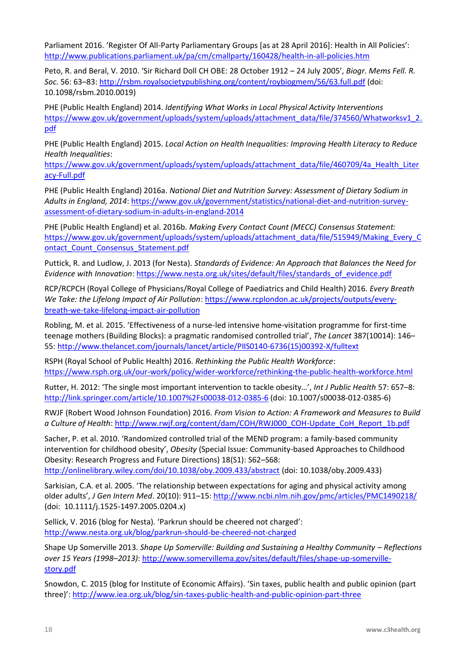Parliament 2016. 'Register Of All-Party Parliamentary Groups [as at 28 April 2016]: Health in All Policies': <http://www.publications.parliament.uk/pa/cm/cmallparty/160428/health-in-all-policies.htm>

Peto, R. and Beral, V. 2010. 'Sir Richard Doll CH OBE: 28 October 1912 – 24 July 2005', *Biogr. Mems Fell. R. Soc.* 56: 63–83: <http://rsbm.royalsocietypublishing.org/content/roybiogmem/56/63.full.pdf> (doi: 10.1098/rsbm.2010.0019)

PHE (Public Health England) 2014. *Identifying What Works in Local Physical Activity Interventions*  [https://www.gov.uk/government/uploads/system/uploads/attachment\\_data/file/374560/Whatworksv1\\_2.](https://www.gov.uk/government/uploads/system/uploads/attachment_data/file/374560/Whatworksv1_2.pdf) [pdf](https://www.gov.uk/government/uploads/system/uploads/attachment_data/file/374560/Whatworksv1_2.pdf)

PHE (Public Health England) 2015. *Local Action on Health Inequalities: Improving Health Literacy to Reduce Health Inequalities*:

[https://www.gov.uk/government/uploads/system/uploads/attachment\\_data/file/460709/4a\\_Health\\_Liter](https://www.gov.uk/government/uploads/system/uploads/attachment_data/file/460709/4a_Health_Literacy-Full.pdf) [acy-Full.pdf](https://www.gov.uk/government/uploads/system/uploads/attachment_data/file/460709/4a_Health_Literacy-Full.pdf)

PHE (Public Health England) 2016a. *National Diet and Nutrition Survey: Assessment of Dietary Sodium in Adults in England, 2014*: [https://www.gov.uk/government/statistics/national-diet-and-nutrition-survey](https://www.gov.uk/government/statistics/national-diet-and-nutrition-survey-assessment-of-dietary-sodium-in-adults-in-england-2014)[assessment-of-dietary-sodium-in-adults-in-england-2014](https://www.gov.uk/government/statistics/national-diet-and-nutrition-survey-assessment-of-dietary-sodium-in-adults-in-england-2014)

PHE (Public Health England) et al. 2016b. *Making Every Contact Count (MECC) Consensus Statement:* [https://www.gov.uk/government/uploads/system/uploads/attachment\\_data/file/515949/Making\\_Every\\_C](https://www.gov.uk/government/uploads/system/uploads/attachment_data/file/515949/Making_Every_Contact_Count_Consensus_Statement.pdf) ontact Count Consensus Statement.pdf

Puttick, R. and Ludlow, J. 2013 (for Nesta). *Standards of Evidence: An Approach that Balances the Need for Evidence with Innovation*: [https://www.nesta.org.uk/sites/default/files/standards\\_of\\_evidence.pdf](https://www.nesta.org.uk/sites/default/files/standards_of_evidence.pdf)

RCP/RCPCH (Royal College of Physicians/Royal College of Paediatrics and Child Health) 2016. *Every Breath We Take: the Lifelong Impact of Air Pollution*: [https://www.rcplondon.ac.uk/projects/outputs/every](https://www.rcplondon.ac.uk/projects/outputs/every-breath-we-take-lifelong-impact-air-pollution)[breath-we-take-lifelong-impact-air-pollution](https://www.rcplondon.ac.uk/projects/outputs/every-breath-we-take-lifelong-impact-air-pollution)

Robling, M. et al. 2015. 'Effectiveness of a nurse-led intensive home-visitation programme for first-time teenage mothers (Building Blocks): a pragmatic randomised controlled trial', *The Lancet* 387(10014): 146– 55: [http://www.thelancet.com/journals/lancet/article/PIIS0140-6736\(15\)00392-X/fulltext](http://www.thelancet.com/journals/lancet/article/PIIS0140-6736(15)00392-X/fulltext)

RSPH (Royal School of Public Health) 2016. *Rethinking the Public Health Workforce*: <https://www.rsph.org.uk/our-work/policy/wider-workforce/rethinking-the-public-health-workforce.html>

Rutter, H. 2012: 'The single most important intervention to tackle obesity…', *Int J Public Health* 57: 657–8: <http://link.springer.com/article/10.1007%2Fs00038-012-0385-6> (doi: 10.1007/s00038-012-0385-6)

RWJF (Robert Wood Johnson Foundation) 2016. *From Vision to Action: A Framework and Measures to Build a Culture of Health*: [http://www.rwjf.org/content/dam/COH/RWJ000\\_COH-Update\\_CoH\\_Report\\_1b.pdf](http://www.rwjf.org/content/dam/COH/RWJ000_COH-Update_CoH_Report_1b.pdf)

Sacher, P. et al. 2010. 'Randomized controlled trial of the MEND program: a family-based community intervention for childhood obesity', *Obesity* (Special Issue: Community-based Approaches to Childhood Obesity: Research Progress and Future Directions) 18(S1): S62–S68: <http://onlinelibrary.wiley.com/doi/10.1038/oby.2009.433/abstract> (doi: 10.1038/oby.2009.433)

Sarkisian, C.A. et al. 2005. 'The relationship between expectations for aging and physical activity among older adults', *J Gen Intern Med*. 20(10): 911–15:<http://www.ncbi.nlm.nih.gov/pmc/articles/PMC1490218/> (doi: 10.1111/j.1525-1497.2005.0204.x)

Sellick, V. 2016 (blog for Nesta). 'Parkrun should be cheered not charged': <http://www.nesta.org.uk/blog/parkrun-should-be-cheered-not-charged>

Shape Up Somerville 2013. *Shape Up Somerville: Building and Sustaining a Healthy Community – Reflections over 15 Years (1998–2013)*: [http://www.somervillema.gov/sites/default/files/shape-up-somerville](http://www.somervillema.gov/sites/default/files/shape-up-somerville-story.pdf)[story.pdf](http://www.somervillema.gov/sites/default/files/shape-up-somerville-story.pdf)

Snowdon, C. 2015 (blog for Institute of Economic Affairs). 'Sin taxes, public health and public opinion (part three)': <http://www.iea.org.uk/blog/sin-taxes-public-health-and-public-opinion-part-three>